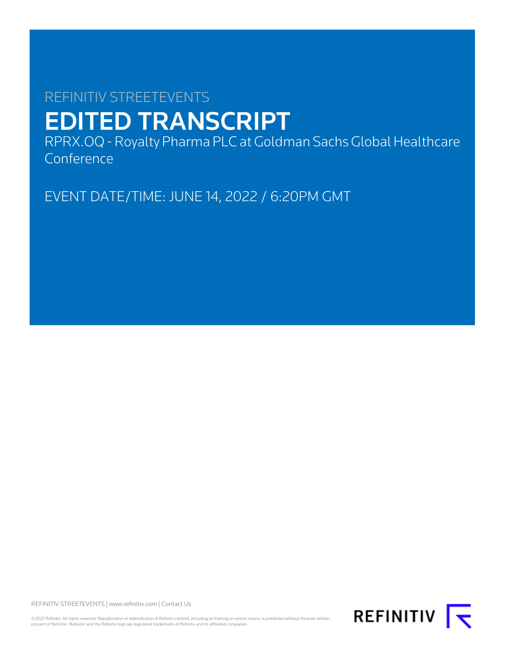# REFINITIV STREETEVENTS EDITED TRANSCRIPT

RPRX.OQ - Royalty Pharma PLC at Goldman Sachs Global Healthcare Conference

EVENT DATE/TIME: JUNE 14, 2022 / 6:20PM GMT

REFINITIV STREETEVENTS | [www.refinitiv.com](https://www.refinitiv.com/) | [Contact Us](https://www.refinitiv.com/en/contact-us)

©2022 Refinitiv. All rights reserved. Republication or redistribution of Refinitiv content, including by framing or similar means, is prohibited without the prior written<br>consent of Refinitiv. 'Refinitiv' and the Refinitiv

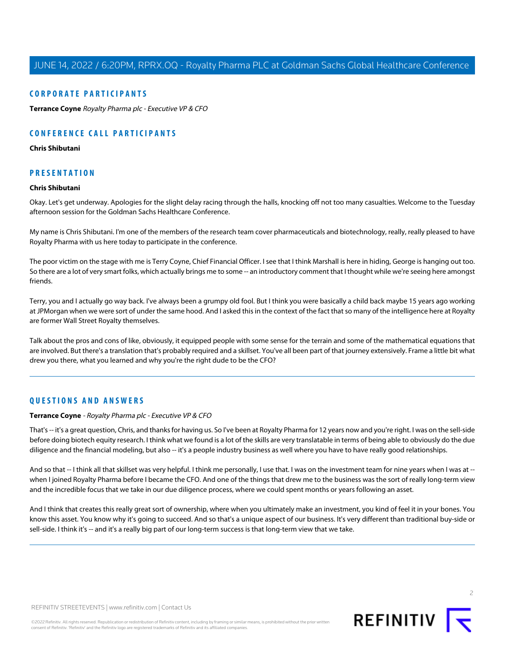### **CORPORATE PARTICIPANTS**

**[Terrance Coyne](#page-1-0)** Royalty Pharma plc - Executive VP & CFO

# **CONFERENCE CALL PARTICIPANTS**

#### **[Chris Shibutani](#page-1-1)**

## <span id="page-1-1"></span>**PRESENTATION**

#### **Chris Shibutani**

Okay. Let's get underway. Apologies for the slight delay racing through the halls, knocking off not too many casualties. Welcome to the Tuesday afternoon session for the Goldman Sachs Healthcare Conference.

My name is Chris Shibutani. I'm one of the members of the research team cover pharmaceuticals and biotechnology, really, really pleased to have Royalty Pharma with us here today to participate in the conference.

The poor victim on the stage with me is Terry Coyne, Chief Financial Officer. I see that I think Marshall is here in hiding, George is hanging out too. So there are a lot of very smart folks, which actually brings me to some -- an introductory comment that I thought while we're seeing here amongst friends.

Terry, you and I actually go way back. I've always been a grumpy old fool. But I think you were basically a child back maybe 15 years ago working at JPMorgan when we were sort of under the same hood. And I asked this in the context of the fact that so many of the intelligence here at Royalty are former Wall Street Royalty themselves.

Talk about the pros and cons of like, obviously, it equipped people with some sense for the terrain and some of the mathematical equations that are involved. But there's a translation that's probably required and a skillset. You've all been part of that journey extensively. Frame a little bit what drew you there, what you learned and why you're the right dude to be the CFO?

## <span id="page-1-0"></span>**QUESTIONS AND ANSWERS**

#### **Terrance Coyne** - Royalty Pharma plc - Executive VP & CFO

That's -- it's a great question, Chris, and thanks for having us. So I've been at Royalty Pharma for 12 years now and you're right. I was on the sell-side before doing biotech equity research. I think what we found is a lot of the skills are very translatable in terms of being able to obviously do the due diligence and the financial modeling, but also -- it's a people industry business as well where you have to have really good relationships.

And so that -- I think all that skillset was very helpful. I think me personally, I use that. I was on the investment team for nine years when I was at - when I joined Royalty Pharma before I became the CFO. And one of the things that drew me to the business was the sort of really long-term view and the incredible focus that we take in our due diligence process, where we could spent months or years following an asset.

And I think that creates this really great sort of ownership, where when you ultimately make an investment, you kind of feel it in your bones. You know this asset. You know why it's going to succeed. And so that's a unique aspect of our business. It's very different than traditional buy-side or sell-side. I think it's -- and it's a really big part of our long-term success is that long-term view that we take.

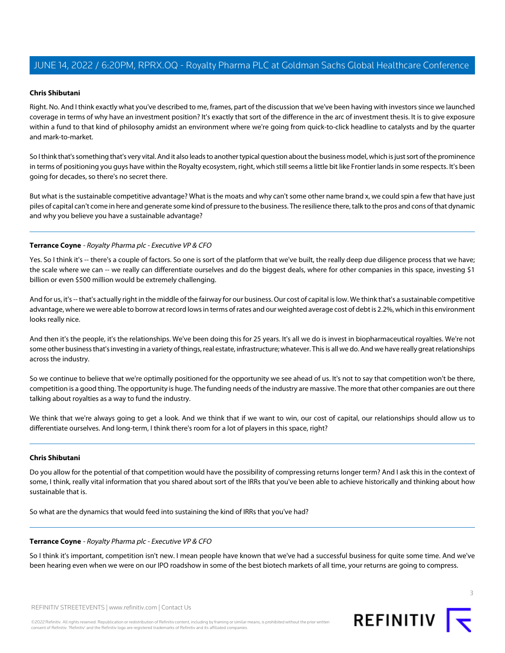#### **Chris Shibutani**

Right. No. And I think exactly what you've described to me, frames, part of the discussion that we've been having with investors since we launched coverage in terms of why have an investment position? It's exactly that sort of the difference in the arc of investment thesis. It is to give exposure within a fund to that kind of philosophy amidst an environment where we're going from quick-to-click headline to catalysts and by the quarter and mark-to-market.

So I think that's something that's very vital. And it also leads to another typical question about the business model, which is just sort of the prominence in terms of positioning you guys have within the Royalty ecosystem, right, which still seems a little bit like Frontier lands in some respects. It's been going for decades, so there's no secret there.

But what is the sustainable competitive advantage? What is the moats and why can't some other name brand x, we could spin a few that have just piles of capital can't come in here and generate some kind of pressure to the business. The resilience there, talk to the pros and cons of that dynamic and why you believe you have a sustainable advantage?

#### **Terrance Coyne** - Royalty Pharma plc - Executive VP & CFO

Yes. So I think it's -- there's a couple of factors. So one is sort of the platform that we've built, the really deep due diligence process that we have; the scale where we can -- we really can differentiate ourselves and do the biggest deals, where for other companies in this space, investing \$1 billion or even \$500 million would be extremely challenging.

And for us, it's -- that's actually right in the middle of the fairway for our business. Our cost of capital is low. We think that's a sustainable competitive advantage, where we were able to borrow at record lows in terms of rates and our weighted average cost of debt is 2.2%, which in this environment looks really nice.

And then it's the people, it's the relationships. We've been doing this for 25 years. It's all we do is invest in biopharmaceutical royalties. We're not some other business that's investing in a variety of things, real estate, infrastructure; whatever. This is all we do. And we have really great relationships across the industry.

So we continue to believe that we're optimally positioned for the opportunity we see ahead of us. It's not to say that competition won't be there, competition is a good thing. The opportunity is huge. The funding needs of the industry are massive. The more that other companies are out there talking about royalties as a way to fund the industry.

We think that we're always going to get a look. And we think that if we want to win, our cost of capital, our relationships should allow us to differentiate ourselves. And long-term, I think there's room for a lot of players in this space, right?

#### **Chris Shibutani**

Do you allow for the potential of that competition would have the possibility of compressing returns longer term? And I ask this in the context of some, I think, really vital information that you shared about sort of the IRRs that you've been able to achieve historically and thinking about how sustainable that is.

So what are the dynamics that would feed into sustaining the kind of IRRs that you've had?

#### **Terrance Coyne** - Royalty Pharma plc - Executive VP & CFO

So I think it's important, competition isn't new. I mean people have known that we've had a successful business for quite some time. And we've been hearing even when we were on our IPO roadshow in some of the best biotech markets of all time, your returns are going to compress.

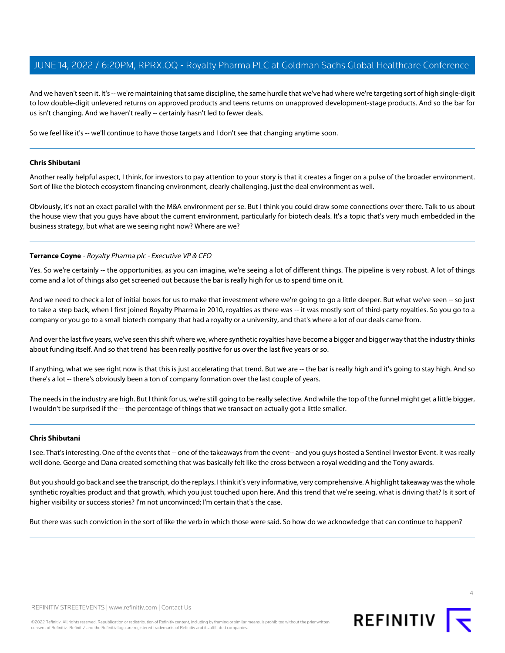And we haven't seen it. It's -- we're maintaining that same discipline, the same hurdle that we've had where we're targeting sort of high single-digit to low double-digit unlevered returns on approved products and teens returns on unapproved development-stage products. And so the bar for us isn't changing. And we haven't really -- certainly hasn't led to fewer deals.

So we feel like it's -- we'll continue to have those targets and I don't see that changing anytime soon.

#### **Chris Shibutani**

Another really helpful aspect, I think, for investors to pay attention to your story is that it creates a finger on a pulse of the broader environment. Sort of like the biotech ecosystem financing environment, clearly challenging, just the deal environment as well.

Obviously, it's not an exact parallel with the M&A environment per se. But I think you could draw some connections over there. Talk to us about the house view that you guys have about the current environment, particularly for biotech deals. It's a topic that's very much embedded in the business strategy, but what are we seeing right now? Where are we?

#### **Terrance Coyne** - Royalty Pharma plc - Executive VP & CFO

Yes. So we're certainly -- the opportunities, as you can imagine, we're seeing a lot of different things. The pipeline is very robust. A lot of things come and a lot of things also get screened out because the bar is really high for us to spend time on it.

And we need to check a lot of initial boxes for us to make that investment where we're going to go a little deeper. But what we've seen -- so just to take a step back, when I first joined Royalty Pharma in 2010, royalties as there was -- it was mostly sort of third-party royalties. So you go to a company or you go to a small biotech company that had a royalty or a university, and that's where a lot of our deals came from.

And over the last five years, we've seen this shift where we, where synthetic royalties have become a bigger and bigger way that the industry thinks about funding itself. And so that trend has been really positive for us over the last five years or so.

If anything, what we see right now is that this is just accelerating that trend. But we are -- the bar is really high and it's going to stay high. And so there's a lot -- there's obviously been a ton of company formation over the last couple of years.

The needs in the industry are high. But I think for us, we're still going to be really selective. And while the top of the funnel might get a little bigger, I wouldn't be surprised if the -- the percentage of things that we transact on actually got a little smaller.

#### **Chris Shibutani**

I see. That's interesting. One of the events that -- one of the takeaways from the event-- and you guys hosted a Sentinel Investor Event. It was really well done. George and Dana created something that was basically felt like the cross between a royal wedding and the Tony awards.

But you should go back and see the transcript, do the replays. I think it's very informative, very comprehensive. A highlight takeaway was the whole synthetic royalties product and that growth, which you just touched upon here. And this trend that we're seeing, what is driving that? Is it sort of higher visibility or success stories? I'm not unconvinced; I'm certain that's the case.

But there was such conviction in the sort of like the verb in which those were said. So how do we acknowledge that can continue to happen?

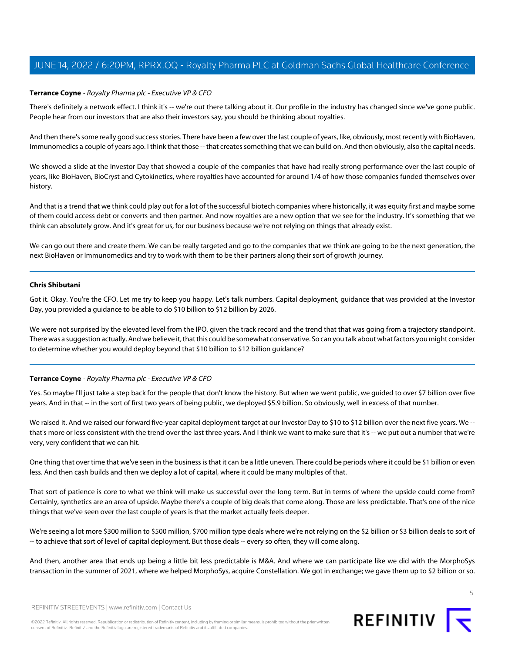#### **Terrance Coyne** - Royalty Pharma plc - Executive VP & CFO

There's definitely a network effect. I think it's -- we're out there talking about it. Our profile in the industry has changed since we've gone public. People hear from our investors that are also their investors say, you should be thinking about royalties.

And then there's some really good success stories. There have been a few over the last couple of years, like, obviously, most recently with BioHaven, Immunomedics a couple of years ago. I think that those -- that creates something that we can build on. And then obviously, also the capital needs.

We showed a slide at the Investor Day that showed a couple of the companies that have had really strong performance over the last couple of years, like BioHaven, BioCryst and Cytokinetics, where royalties have accounted for around 1/4 of how those companies funded themselves over history.

And that is a trend that we think could play out for a lot of the successful biotech companies where historically, it was equity first and maybe some of them could access debt or converts and then partner. And now royalties are a new option that we see for the industry. It's something that we think can absolutely grow. And it's great for us, for our business because we're not relying on things that already exist.

We can go out there and create them. We can be really targeted and go to the companies that we think are going to be the next generation, the next BioHaven or Immunomedics and try to work with them to be their partners along their sort of growth journey.

#### **Chris Shibutani**

Got it. Okay. You're the CFO. Let me try to keep you happy. Let's talk numbers. Capital deployment, guidance that was provided at the Investor Day, you provided a guidance to be able to do \$10 billion to \$12 billion by 2026.

We were not surprised by the elevated level from the IPO, given the track record and the trend that that was going from a trajectory standpoint. There was a suggestion actually. And we believe it, that this could be somewhat conservative. So can you talk about what factors you might consider to determine whether you would deploy beyond that \$10 billion to \$12 billion guidance?

#### **Terrance Coyne** - Royalty Pharma plc - Executive VP & CFO

Yes. So maybe I'll just take a step back for the people that don't know the history. But when we went public, we guided to over \$7 billion over five years. And in that -- in the sort of first two years of being public, we deployed \$5.9 billion. So obviously, well in excess of that number.

We raised it. And we raised our forward five-year capital deployment target at our Investor Day to \$10 to \$12 billion over the next five years. We -that's more or less consistent with the trend over the last three years. And I think we want to make sure that it's -- we put out a number that we're very, very confident that we can hit.

One thing that over time that we've seen in the business is that it can be a little uneven. There could be periods where it could be \$1 billion or even less. And then cash builds and then we deploy a lot of capital, where it could be many multiples of that.

That sort of patience is core to what we think will make us successful over the long term. But in terms of where the upside could come from? Certainly, synthetics are an area of upside. Maybe there's a couple of big deals that come along. Those are less predictable. That's one of the nice things that we've seen over the last couple of years is that the market actually feels deeper.

We're seeing a lot more \$300 million to \$500 million, \$700 million type deals where we're not relying on the \$2 billion or \$3 billion deals to sort of -- to achieve that sort of level of capital deployment. But those deals -- every so often, they will come along.

And then, another area that ends up being a little bit less predictable is M&A. And where we can participate like we did with the MorphoSys transaction in the summer of 2021, where we helped MorphoSys, acquire Constellation. We got in exchange; we gave them up to \$2 billion or so.



REFINITIV STREETEVENTS | [www.refinitiv.com](https://www.refinitiv.com/) | [Contact Us](https://www.refinitiv.com/en/contact-us)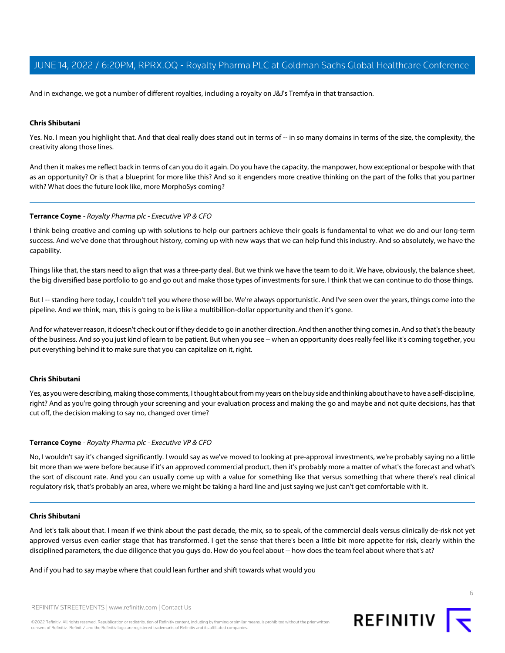And in exchange, we got a number of different royalties, including a royalty on J&J's Tremfya in that transaction.

#### **Chris Shibutani**

Yes. No. I mean you highlight that. And that deal really does stand out in terms of -- in so many domains in terms of the size, the complexity, the creativity along those lines.

And then it makes me reflect back in terms of can you do it again. Do you have the capacity, the manpower, how exceptional or bespoke with that as an opportunity? Or is that a blueprint for more like this? And so it engenders more creative thinking on the part of the folks that you partner with? What does the future look like, more MorphoSys coming?

#### **Terrance Coyne** - Royalty Pharma plc - Executive VP & CFO

I think being creative and coming up with solutions to help our partners achieve their goals is fundamental to what we do and our long-term success. And we've done that throughout history, coming up with new ways that we can help fund this industry. And so absolutely, we have the capability.

Things like that, the stars need to align that was a three-party deal. But we think we have the team to do it. We have, obviously, the balance sheet, the big diversified base portfolio to go and go out and make those types of investments for sure. I think that we can continue to do those things.

But I -- standing here today, I couldn't tell you where those will be. We're always opportunistic. And I've seen over the years, things come into the pipeline. And we think, man, this is going to be is like a multibillion-dollar opportunity and then it's gone.

And for whatever reason, it doesn't check out or if they decide to go in another direction. And then another thing comes in. And so that's the beauty of the business. And so you just kind of learn to be patient. But when you see -- when an opportunity does really feel like it's coming together, you put everything behind it to make sure that you can capitalize on it, right.

#### **Chris Shibutani**

Yes, as you were describing, making those comments, I thought about from my years on the buy side and thinking about have to have a self-discipline, right? And as you're going through your screening and your evaluation process and making the go and maybe and not quite decisions, has that cut off, the decision making to say no, changed over time?

#### **Terrance Coyne** - Royalty Pharma plc - Executive VP & CFO

No, I wouldn't say it's changed significantly. I would say as we've moved to looking at pre-approval investments, we're probably saying no a little bit more than we were before because if it's an approved commercial product, then it's probably more a matter of what's the forecast and what's the sort of discount rate. And you can usually come up with a value for something like that versus something that where there's real clinical regulatory risk, that's probably an area, where we might be taking a hard line and just saying we just can't get comfortable with it.

#### **Chris Shibutani**

And let's talk about that. I mean if we think about the past decade, the mix, so to speak, of the commercial deals versus clinically de-risk not yet approved versus even earlier stage that has transformed. I get the sense that there's been a little bit more appetite for risk, clearly within the disciplined parameters, the due diligence that you guys do. How do you feel about -- how does the team feel about where that's at?

And if you had to say maybe where that could lean further and shift towards what would you

REFINITIV STREETEVENTS | [www.refinitiv.com](https://www.refinitiv.com/) | [Contact Us](https://www.refinitiv.com/en/contact-us)

©2022 Refinitiv. All rights reserved. Republication or redistribution of Refinitiv content, including by framing or similar means, is prohibited without the prior written consent of Refinitiv. 'Refinitiv' and the Refinitiv logo are registered trademarks of Refinitiv and its affiliated companies.



6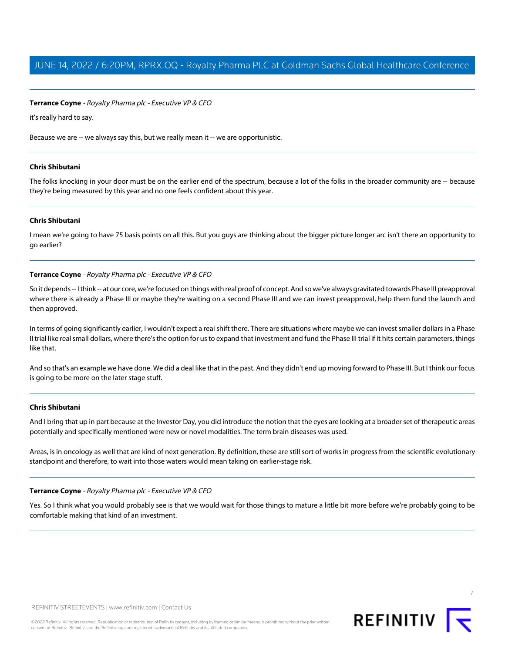#### **Terrance Coyne** - Royalty Pharma plc - Executive VP & CFO

it's really hard to say.

Because we are -- we always say this, but we really mean it -- we are opportunistic.

#### **Chris Shibutani**

The folks knocking in your door must be on the earlier end of the spectrum, because a lot of the folks in the broader community are -- because they're being measured by this year and no one feels confident about this year.

#### **Chris Shibutani**

I mean we're going to have 75 basis points on all this. But you guys are thinking about the bigger picture longer arc isn't there an opportunity to go earlier?

#### **Terrance Coyne** - Royalty Pharma plc - Executive VP & CFO

So it depends -- I think -- at our core, we're focused on things with real proof of concept. And so we've always gravitated towards Phase III preapproval where there is already a Phase III or maybe they're waiting on a second Phase III and we can invest preapproval, help them fund the launch and then approved.

In terms of going significantly earlier, I wouldn't expect a real shift there. There are situations where maybe we can invest smaller dollars in a Phase II trial like real small dollars, where there's the option for us to expand that investment and fund the Phase III trial if it hits certain parameters, things like that.

And so that's an example we have done. We did a deal like that in the past. And they didn't end up moving forward to Phase III. But I think our focus is going to be more on the later stage stuff.

#### **Chris Shibutani**

And I bring that up in part because at the Investor Day, you did introduce the notion that the eyes are looking at a broader set of therapeutic areas potentially and specifically mentioned were new or novel modalities. The term brain diseases was used.

Areas, is in oncology as well that are kind of next generation. By definition, these are still sort of works in progress from the scientific evolutionary standpoint and therefore, to wait into those waters would mean taking on earlier-stage risk.

#### **Terrance Coyne** - Royalty Pharma plc - Executive VP & CFO

Yes. So I think what you would probably see is that we would wait for those things to mature a little bit more before we're probably going to be comfortable making that kind of an investment.

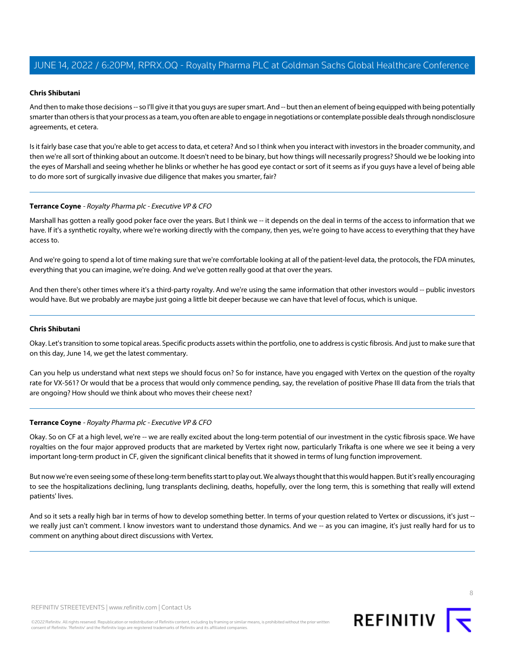#### **Chris Shibutani**

And then to make those decisions -- so I'll give it that you guys are super smart. And -- but then an element of being equipped with being potentially smarter than others is that your process as a team, you often are able to engage in negotiations or contemplate possible deals through nondisclosure agreements, et cetera.

Is it fairly base case that you're able to get access to data, et cetera? And so I think when you interact with investors in the broader community, and then we're all sort of thinking about an outcome. It doesn't need to be binary, but how things will necessarily progress? Should we be looking into the eyes of Marshall and seeing whether he blinks or whether he has good eye contact or sort of it seems as if you guys have a level of being able to do more sort of surgically invasive due diligence that makes you smarter, fair?

#### **Terrance Coyne** - Royalty Pharma plc - Executive VP & CFO

Marshall has gotten a really good poker face over the years. But I think we -- it depends on the deal in terms of the access to information that we have. If it's a synthetic royalty, where we're working directly with the company, then yes, we're going to have access to everything that they have access to.

And we're going to spend a lot of time making sure that we're comfortable looking at all of the patient-level data, the protocols, the FDA minutes, everything that you can imagine, we're doing. And we've gotten really good at that over the years.

And then there's other times where it's a third-party royalty. And we're using the same information that other investors would -- public investors would have. But we probably are maybe just going a little bit deeper because we can have that level of focus, which is unique.

#### **Chris Shibutani**

Okay. Let's transition to some topical areas. Specific products assets within the portfolio, one to address is cystic fibrosis. And just to make sure that on this day, June 14, we get the latest commentary.

Can you help us understand what next steps we should focus on? So for instance, have you engaged with Vertex on the question of the royalty rate for VX-561? Or would that be a process that would only commence pending, say, the revelation of positive Phase III data from the trials that are ongoing? How should we think about who moves their cheese next?

#### **Terrance Coyne** - Royalty Pharma plc - Executive VP & CFO

Okay. So on CF at a high level, we're -- we are really excited about the long-term potential of our investment in the cystic fibrosis space. We have royalties on the four major approved products that are marketed by Vertex right now, particularly Trikafta is one where we see it being a very important long-term product in CF, given the significant clinical benefits that it showed in terms of lung function improvement.

But now we're even seeing some of these long-term benefits start to play out. We always thought that this would happen. But it's really encouraging to see the hospitalizations declining, lung transplants declining, deaths, hopefully, over the long term, this is something that really will extend patients' lives.

And so it sets a really high bar in terms of how to develop something better. In terms of your question related to Vertex or discussions, it's just -we really just can't comment. I know investors want to understand those dynamics. And we -- as you can imagine, it's just really hard for us to comment on anything about direct discussions with Vertex.



8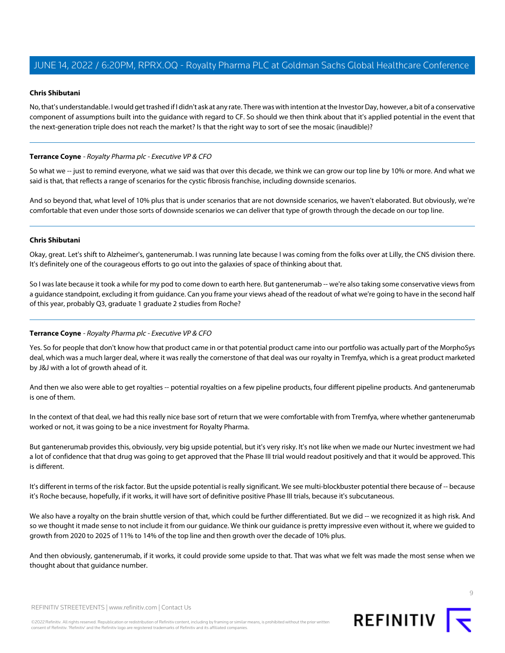#### **Chris Shibutani**

No, that's understandable. I would get trashed if I didn't ask at any rate. There was with intention at the Investor Day, however, a bit of a conservative component of assumptions built into the guidance with regard to CF. So should we then think about that it's applied potential in the event that the next-generation triple does not reach the market? Is that the right way to sort of see the mosaic (inaudible)?

#### **Terrance Coyne** - Royalty Pharma plc - Executive VP & CFO

So what we -- just to remind everyone, what we said was that over this decade, we think we can grow our top line by 10% or more. And what we said is that, that reflects a range of scenarios for the cystic fibrosis franchise, including downside scenarios.

And so beyond that, what level of 10% plus that is under scenarios that are not downside scenarios, we haven't elaborated. But obviously, we're comfortable that even under those sorts of downside scenarios we can deliver that type of growth through the decade on our top line.

#### **Chris Shibutani**

Okay, great. Let's shift to Alzheimer's, gantenerumab. I was running late because I was coming from the folks over at Lilly, the CNS division there. It's definitely one of the courageous efforts to go out into the galaxies of space of thinking about that.

So I was late because it took a while for my pod to come down to earth here. But gantenerumab -- we're also taking some conservative views from a guidance standpoint, excluding it from guidance. Can you frame your views ahead of the readout of what we're going to have in the second half of this year, probably Q3, graduate 1 graduate 2 studies from Roche?

#### **Terrance Coyne** - Royalty Pharma plc - Executive VP & CFO

Yes. So for people that don't know how that product came in or that potential product came into our portfolio was actually part of the MorphoSys deal, which was a much larger deal, where it was really the cornerstone of that deal was our royalty in Tremfya, which is a great product marketed by J&J with a lot of growth ahead of it.

And then we also were able to get royalties -- potential royalties on a few pipeline products, four different pipeline products. And gantenerumab is one of them.

In the context of that deal, we had this really nice base sort of return that we were comfortable with from Tremfya, where whether gantenerumab worked or not, it was going to be a nice investment for Royalty Pharma.

But gantenerumab provides this, obviously, very big upside potential, but it's very risky. It's not like when we made our Nurtec investment we had a lot of confidence that that drug was going to get approved that the Phase III trial would readout positively and that it would be approved. This is different.

It's different in terms of the risk factor. But the upside potential is really significant. We see multi-blockbuster potential there because of -- because it's Roche because, hopefully, if it works, it will have sort of definitive positive Phase III trials, because it's subcutaneous.

We also have a royalty on the brain shuttle version of that, which could be further differentiated. But we did -- we recognized it as high risk. And so we thought it made sense to not include it from our guidance. We think our guidance is pretty impressive even without it, where we guided to growth from 2020 to 2025 of 11% to 14% of the top line and then growth over the decade of 10% plus.

And then obviously, gantenerumab, if it works, it could provide some upside to that. That was what we felt was made the most sense when we thought about that guidance number.

REFINITIV STREETEVENTS | [www.refinitiv.com](https://www.refinitiv.com/) | [Contact Us](https://www.refinitiv.com/en/contact-us)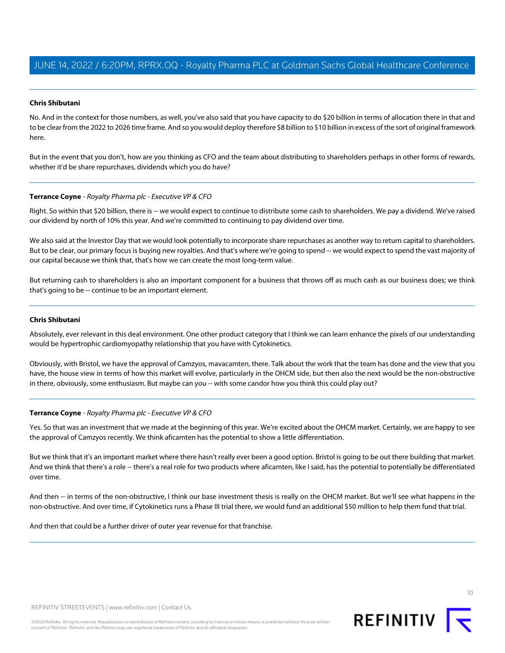#### **Chris Shibutani**

No. And in the context for those numbers, as well, you've also said that you have capacity to do \$20 billion in terms of allocation there in that and to be clear from the 2022 to 2026 time frame. And so you would deploy therefore \$8 billion to \$10 billion in excess of the sort of original framework here.

But in the event that you don't, how are you thinking as CFO and the team about distributing to shareholders perhaps in other forms of rewards, whether it'd be share repurchases, dividends which you do have?

#### **Terrance Coyne** - Royalty Pharma plc - Executive VP & CFO

Right. So within that \$20 billion, there is -- we would expect to continue to distribute some cash to shareholders. We pay a dividend. We've raised our dividend by north of 10% this year. And we're committed to continuing to pay dividend over time.

We also said at the Investor Day that we would look potentially to incorporate share repurchases as another way to return capital to shareholders. But to be clear, our primary focus is buying new royalties. And that's where we're going to spend -- we would expect to spend the vast majority of our capital because we think that, that's how we can create the most long-term value.

But returning cash to shareholders is also an important component for a business that throws off as much cash as our business does; we think that's going to be -- continue to be an important element.

#### **Chris Shibutani**

Absolutely, ever relevant in this deal environment. One other product category that I think we can learn enhance the pixels of our understanding would be hypertrophic cardiomyopathy relationship that you have with Cytokinetics.

Obviously, with Bristol, we have the approval of Camzyos, mavacamten, there. Talk about the work that the team has done and the view that you have, the house view in terms of how this market will evolve, particularly in the OHCM side, but then also the next would be the non-obstructive in there, obviously, some enthusiasm. But maybe can you -- with some candor how you think this could play out?

#### **Terrance Coyne** - Royalty Pharma plc - Executive VP & CFO

Yes. So that was an investment that we made at the beginning of this year. We're excited about the OHCM market. Certainly, we are happy to see the approval of Camzyos recently. We think aficamten has the potential to show a little differentiation.

But we think that it's an important market where there hasn't really ever been a good option. Bristol is going to be out there building that market. And we think that there's a role -- there's a real role for two products where aficamten, like I said, has the potential to potentially be differentiated over time.

And then -- in terms of the non-obstructive, I think our base investment thesis is really on the OHCM market. But we'll see what happens in the non-obstructive. And over time, if Cytokinetics runs a Phase III trial there, we would fund an additional \$50 million to help them fund that trial.

And then that could be a further driver of outer year revenue for that franchise.